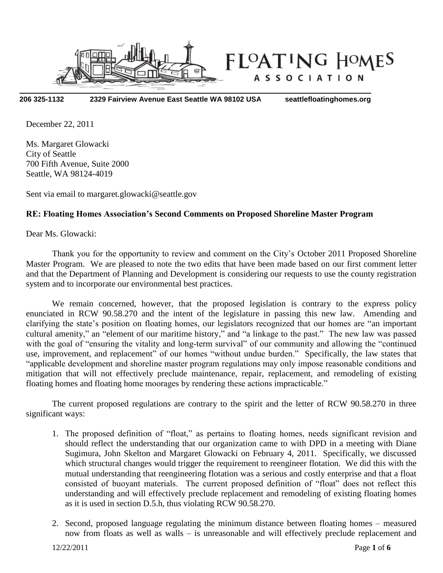

**206 325-1132 2329 Fairview Avenue East Seattle WA 98102 USA seattlefloatinghomes.org**

December 22, 2011

Ms. Margaret Glowacki City of Seattle 700 Fifth Avenue, Suite 2000 Seattle, WA 98124-4019

Sent via email to margaret.glowacki@seattle.gov

### **RE: Floating Homes Association's Second Comments on Proposed Shoreline Master Program**

Dear Ms. Glowacki:

Thank you for the opportunity to review and comment on the City's October 2011 Proposed Shoreline Master Program. We are pleased to note the two edits that have been made based on our first comment letter and that the Department of Planning and Development is considering our requests to use the county registration system and to incorporate our environmental best practices.

We remain concerned, however, that the proposed legislation is contrary to the express policy enunciated in RCW 90.58.270 and the intent of the legislature in passing this new law. Amending and clarifying the state's position on floating homes, our legislators recognized that our homes are "an important cultural amenity," an "element of our maritime history," and "a linkage to the past." The new law was passed with the goal of "ensuring the vitality and long-term survival" of our community and allowing the "continued use, improvement, and replacement" of our homes "without undue burden." Specifically, the law states that "applicable development and shoreline master program regulations may only impose reasonable conditions and mitigation that will not effectively preclude maintenance, repair, replacement, and remodeling of existing floating homes and floating home moorages by rendering these actions impracticable."

The current proposed regulations are contrary to the spirit and the letter of RCW 90.58.270 in three significant ways:

- 1. The proposed definition of "float," as pertains to floating homes, needs significant revision and should reflect the understanding that our organization came to with DPD in a meeting with Diane Sugimura, John Skelton and Margaret Glowacki on February 4, 2011. Specifically, we discussed which structural changes would trigger the requirement to reengineer flotation. We did this with the mutual understanding that reengineering flotation was a serious and costly enterprise and that a float consisted of buoyant materials. The current proposed definition of "float" does not reflect this understanding and will effectively preclude replacement and remodeling of existing floating homes as it is used in section D.5.h, thus violating RCW 90.58.270.
- 2. Second, proposed language regulating the minimum distance between floating homes measured now from floats as well as walls – is unreasonable and will effectively preclude replacement and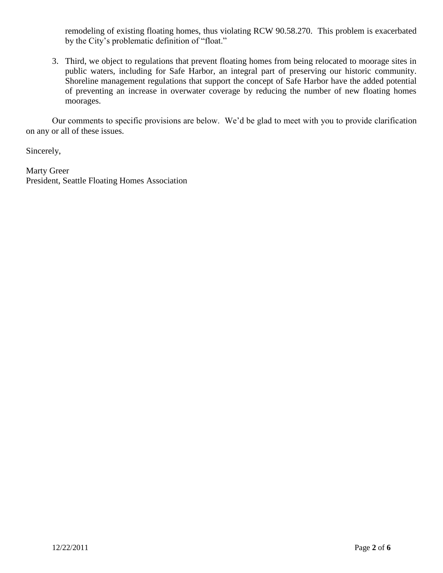remodeling of existing floating homes, thus violating RCW 90.58.270. This problem is exacerbated by the City's problematic definition of "float."

3. Third, we object to regulations that prevent floating homes from being relocated to moorage sites in public waters, including for Safe Harbor, an integral part of preserving our historic community. Shoreline management regulations that support the concept of Safe Harbor have the added potential of preventing an increase in overwater coverage by reducing the number of new floating homes moorages.

Our comments to specific provisions are below. We'd be glad to meet with you to provide clarification on any or all of these issues.

Sincerely,

Marty Greer President, Seattle Floating Homes Association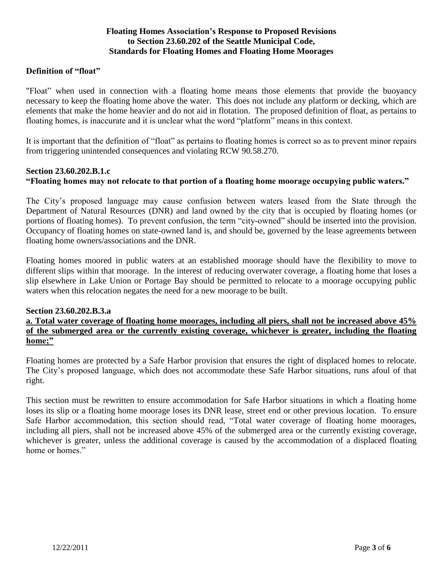## **Floating Homes Association's Response to Proposed Revisions to Section 23.60.202 of the Seattle Municipal Code, Standards for Floating Homes and Floating Home Moorages**

### **Definition of "float"**

"Float" when used in connection with a floating home means those elements that provide the buoyancy necessary to keep the floating home above the water. This does not include any platform or decking, which are elements that make the home heavier and do not aid in flotation. The proposed definition of float, as pertains to floating homes, is inaccurate and it is unclear what the word "platform" means in this context.

It is important that the definition of "float" as pertains to floating homes is correct so as to prevent minor repairs from triggering unintended consequences and violating RCW 90.58.270.

# **Section 23.60.202.B.1.c "Floating homes may not relocate to that portion of a floating home moorage occupying public waters."**

The City's proposed language may cause confusion between waters leased from the State through the Department of Natural Resources (DNR) and land owned by the city that is occupied by floating homes (or portions of floating homes). To prevent confusion, the term "city-owned" should be inserted into the provision. Occupancy of floating homes on state-owned land is, and should be, governed by the lease agreements between floating home owners/associations and the DNR.

Floating homes moored in public waters at an established moorage should have the flexibility to move to different slips within that moorage. In the interest of reducing overwater coverage, a floating home that loses a slip elsewhere in Lake Union or Portage Bay should be permitted to relocate to a moorage occupying public waters when this relocation negates the need for a new moorage to be built.

#### **Section 23.60.202.B.3.a**

### **a. Total water coverage of floating home moorages, including all piers, shall not be increased above 45% of the submerged area or the currently existing coverage, whichever is greater, including the floating home;"**

Floating homes are protected by a Safe Harbor provision that ensures the right of displaced homes to relocate. The City's proposed language, which does not accommodate these Safe Harbor situations, runs afoul of that right.

This section must be rewritten to ensure accommodation for Safe Harbor situations in which a floating home loses its slip or a floating home moorage loses its DNR lease, street end or other previous location. To ensure Safe Harbor accommodation, this section should read, "Total water coverage of floating home moorages, including all piers, shall not be increased above 45% of the submerged area or the currently existing coverage, whichever is greater, unless the additional coverage is caused by the accommodation of a displaced floating home or homes."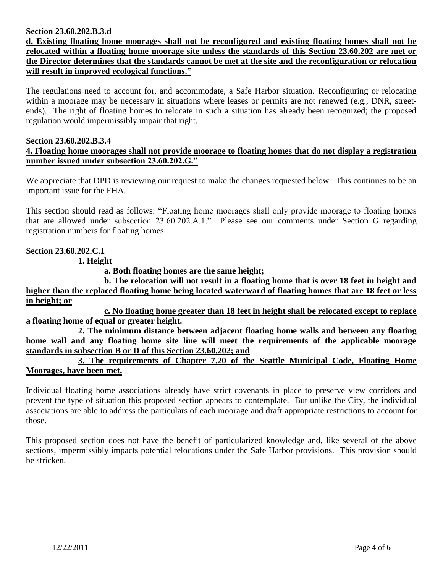### **Section 23.60.202.B.3.d**

**d. Existing floating home moorages shall not be reconfigured and existing floating homes shall not be relocated within a floating home moorage site unless the standards of this Section 23.60.202 are met or the Director determines that the standards cannot be met at the site and the reconfiguration or relocation will result in improved ecological functions."**

The regulations need to account for, and accommodate, a Safe Harbor situation. Reconfiguring or relocating within a moorage may be necessary in situations where leases or permits are not renewed (e.g., DNR, streetends). The right of floating homes to relocate in such a situation has already been recognized; the proposed regulation would impermissibly impair that right.

#### **Section 23.60.202.B.3.4 4. Floating home moorages shall not provide moorage to floating homes that do not display a registration number issued under subsection 23.60.202.G."**

We appreciate that DPD is reviewing our request to make the changes requested below. This continues to be an important issue for the FHA.

This section should read as follows: "Floating home moorages shall only provide moorage to floating homes that are allowed under subsection 23.60.202.A.1." Please see our comments under Section G regarding registration numbers for floating homes.

## **Section 23.60.202.C.1**

**1. Height**

**a. Both floating homes are the same height;**

**b. The relocation will not result in a floating home that is over 18 feet in height and higher than the replaced floating home being located waterward of floating homes that are 18 feet or less in height; or**

**c. No floating home greater than 18 feet in height shall be relocated except to replace a floating home of equal or greater height.**

**2. The minimum distance between adjacent floating home walls and between any floating home wall and any floating home site line will meet the requirements of the applicable moorage standards in subsection B or D of this Section 23.60.202; and**

**3. The requirements of Chapter 7.20 of the Seattle Municipal Code, Floating Home Moorages, have been met.**

Individual floating home associations already have strict covenants in place to preserve view corridors and prevent the type of situation this proposed section appears to contemplate. But unlike the City, the individual associations are able to address the particulars of each moorage and draft appropriate restrictions to account for those.

This proposed section does not have the benefit of particularized knowledge and, like several of the above sections, impermissibly impacts potential relocations under the Safe Harbor provisions. This provision should be stricken.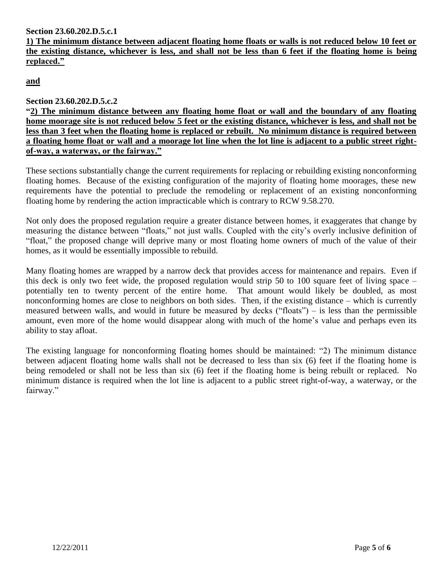**Section 23.60.202.D.5.c.1**

**1) The minimum distance between adjacent floating home floats or walls is not reduced below 10 feet or the existing distance, whichever is less, and shall not be less than 6 feet if the floating home is being replaced."**

**and**

# **Section 23.60.202.D.5.c.2**

**"2) The minimum distance between any floating home float or wall and the boundary of any floating home moorage site is not reduced below 5 feet or the existing distance, whichever is less, and shall not be less than 3 feet when the floating home is replaced or rebuilt. No minimum distance is required between a floating home float or wall and a moorage lot line when the lot line is adjacent to a public street rightof-way, a waterway, or the fairway."**

These sections substantially change the current requirements for replacing or rebuilding existing nonconforming floating homes. Because of the existing configuration of the majority of floating home moorages, these new requirements have the potential to preclude the remodeling or replacement of an existing nonconforming floating home by rendering the action impracticable which is contrary to RCW 9.58.270.

Not only does the proposed regulation require a greater distance between homes, it exaggerates that change by measuring the distance between "floats," not just walls. Coupled with the city's overly inclusive definition of "float," the proposed change will deprive many or most floating home owners of much of the value of their homes, as it would be essentially impossible to rebuild.

Many floating homes are wrapped by a narrow deck that provides access for maintenance and repairs. Even if this deck is only two feet wide, the proposed regulation would strip 50 to 100 square feet of living space – potentially ten to twenty percent of the entire home. That amount would likely be doubled, as most nonconforming homes are close to neighbors on both sides. Then, if the existing distance – which is currently measured between walls, and would in future be measured by decks ("floats") – is less than the permissible amount, even more of the home would disappear along with much of the home's value and perhaps even its ability to stay afloat.

The existing language for nonconforming floating homes should be maintained: "2) The minimum distance between adjacent floating home walls shall not be decreased to less than six (6) feet if the floating home is being remodeled or shall not be less than six (6) feet if the floating home is being rebuilt or replaced. No minimum distance is required when the lot line is adjacent to a public street right-of-way, a waterway, or the fairway."